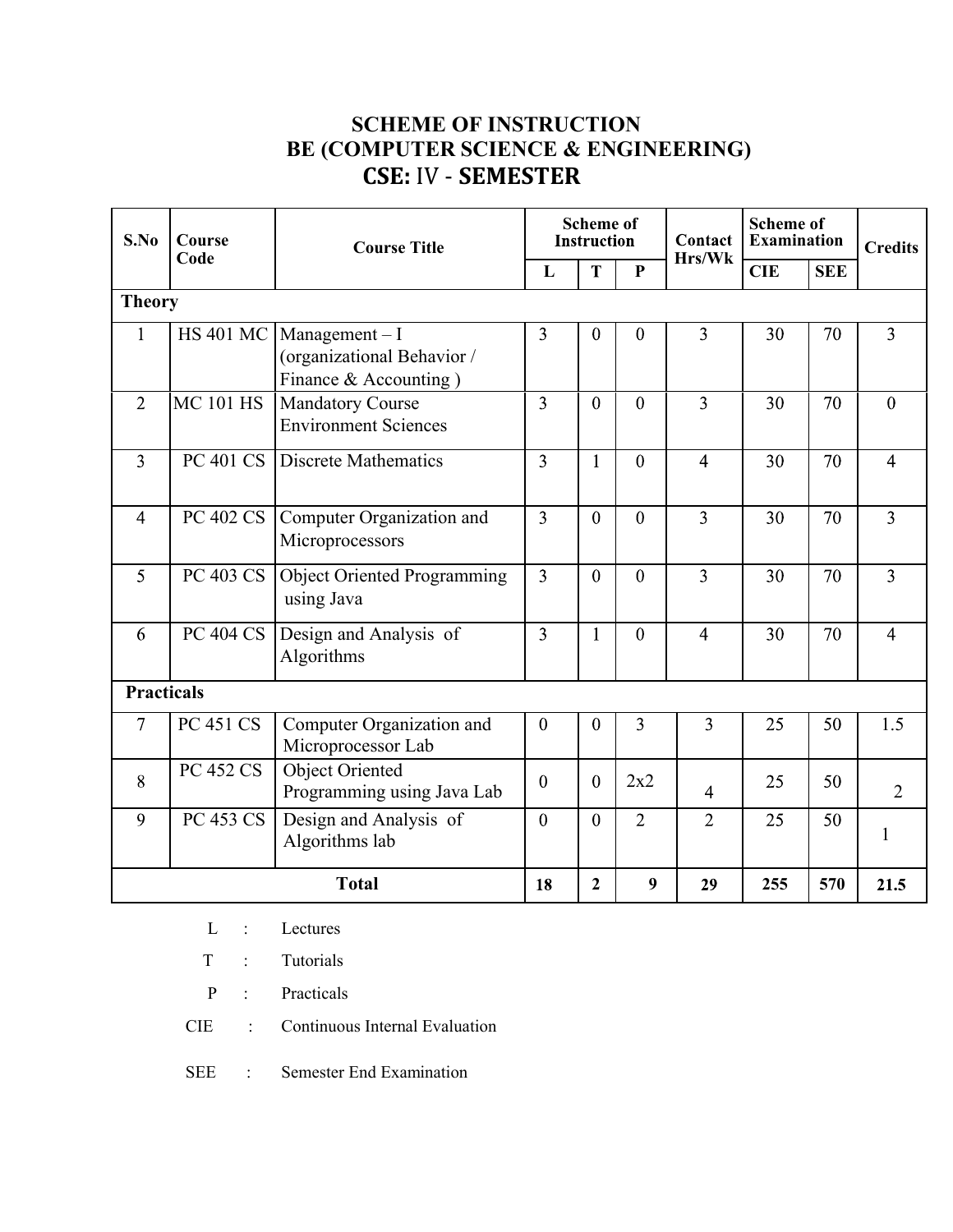# **SCHEME OF INSTRUCTION BE (COMPUTER SCIENCE & ENGINEERING) CSE:** IV - **SEMESTER**

| S.No<br>Course    |                  | <b>Course Title</b>                                                     | <b>Scheme of</b><br><b>Instruction</b> |                | Contact        | <b>Scheme of</b><br><b>Examination</b> |            | <b>Credits</b> |                |
|-------------------|------------------|-------------------------------------------------------------------------|----------------------------------------|----------------|----------------|----------------------------------------|------------|----------------|----------------|
|                   | Code             |                                                                         | L                                      | T              | $\mathbf{P}$   | Hrs/Wk                                 | <b>CIE</b> | <b>SEE</b>     |                |
| <b>Theory</b>     |                  |                                                                         |                                        |                |                |                                        |            |                |                |
| 1                 | <b>HS 401 MC</b> | $Management - I$<br>(organizational Behavior /<br>Finance & Accounting) | 3                                      | $\overline{0}$ | $\mathbf{0}$   | 3                                      | 30         | 70             | 3              |
| $\overline{2}$    | <b>MC 101 HS</b> | <b>Mandatory Course</b><br><b>Environment Sciences</b>                  | $\overline{3}$                         | $\theta$       | $\overline{0}$ | 3                                      | 30         | 70             | $\overline{0}$ |
| $\overline{3}$    | PC 401 CS        | <b>Discrete Mathematics</b>                                             | 3                                      | $\mathbf{1}$   | $\mathbf{0}$   | $\overline{4}$                         | 30         | 70             | $\overline{4}$ |
| $\overline{4}$    | <b>PC 402 CS</b> | Computer Organization and<br>Microprocessors                            | $\overline{3}$                         | $\mathbf{0}$   | $\theta$       | $\overline{3}$                         | 30         | 70             | $\overline{3}$ |
| 5                 | PC 403 CS        | <b>Object Oriented Programming</b><br>using Java                        | 3                                      | $\mathbf{0}$   | $\overline{0}$ | $\overline{3}$                         | 30         | 70             | $\overline{3}$ |
| 6                 | <b>PC 404 CS</b> | Design and Analysis of<br>Algorithms                                    | $\overline{3}$                         | $\mathbf{1}$   | $\overline{0}$ | $\overline{4}$                         | 30         | 70             | $\overline{4}$ |
| <b>Practicals</b> |                  |                                                                         |                                        |                |                |                                        |            |                |                |
| $\overline{7}$    | <b>PC 451 CS</b> | Computer Organization and<br>Microprocessor Lab                         | $\overline{0}$                         | $\overline{0}$ | 3              | $\overline{3}$                         | 25         | 50             | 1.5            |
| 8                 | <b>PC 452 CS</b> | <b>Object Oriented</b><br>Programming using Java Lab                    | $\theta$                               | $\overline{0}$ | 2x2            | $\overline{4}$                         | 25         | 50             | $\overline{2}$ |
| 9                 | <b>PC 453 CS</b> | Design and Analysis of<br>Algorithms lab                                | $\overline{0}$                         | $\overline{0}$ | $\overline{2}$ | $\overline{2}$                         | 25         | 50             | $\mathbf{1}$   |
|                   |                  | <b>Total</b>                                                            | 18                                     | $\overline{2}$ | 9              | 29                                     | 255        | 570            | 21.5           |

- L : Lectures
- T : Tutorials
- P : Practicals
- CIE : Continuous Internal Evaluation
- SEE : Semester End Examination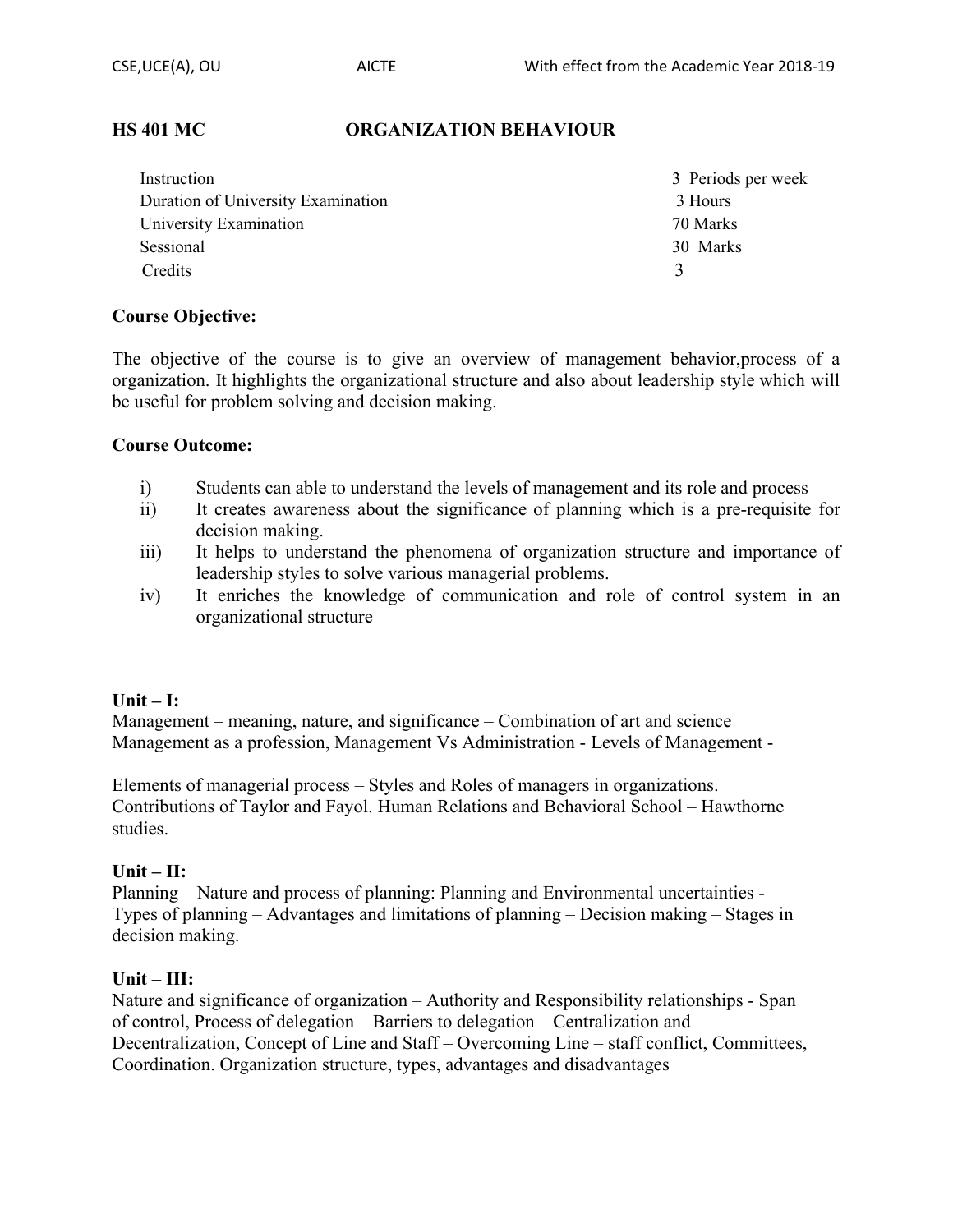#### **HS 401 MC ORGANIZATION BEHAVIOUR**

| Instruction                        | 3 Periods per week |
|------------------------------------|--------------------|
| Duration of University Examination | 3 Hours            |
| University Examination             | 70 Marks           |
| Sessional                          | 30 Marks           |
| Credits                            | 3                  |

#### **Course Objective:**

The objective of the course is to give an overview of management behavior,process of a organization. It highlights the organizational structure and also about leadership style which will be useful for problem solving and decision making.

#### **Course Outcome:**

- i) Students can able to understand the levels of management and its role and process
- ii) It creates awareness about the significance of planning which is a pre-requisite for decision making.
- iii) It helps to understand the phenomena of organization structure and importance of leadership styles to solve various managerial problems.
- iv) It enriches the knowledge of communication and role of control system in an organizational structure

#### **Unit – I:**

Management – meaning, nature, and significance – Combination of art and science Management as a profession, Management Vs Administration - Levels of Management -

Elements of managerial process – Styles and Roles of managers in organizations. Contributions of Taylor and Fayol. Human Relations and Behavioral School – Hawthorne studies.

#### **Unit – II:**

Planning – Nature and process of planning: Planning and Environmental uncertainties - Types of planning – Advantages and limitations of planning – Decision making – Stages in decision making.

#### **Unit – III:**

Nature and significance of organization – Authority and Responsibility relationships - Span of control, Process of delegation – Barriers to delegation – Centralization and Decentralization, Concept of Line and Staff – Overcoming Line – staff conflict, Committees, Coordination. Organization structure, types, advantages and disadvantages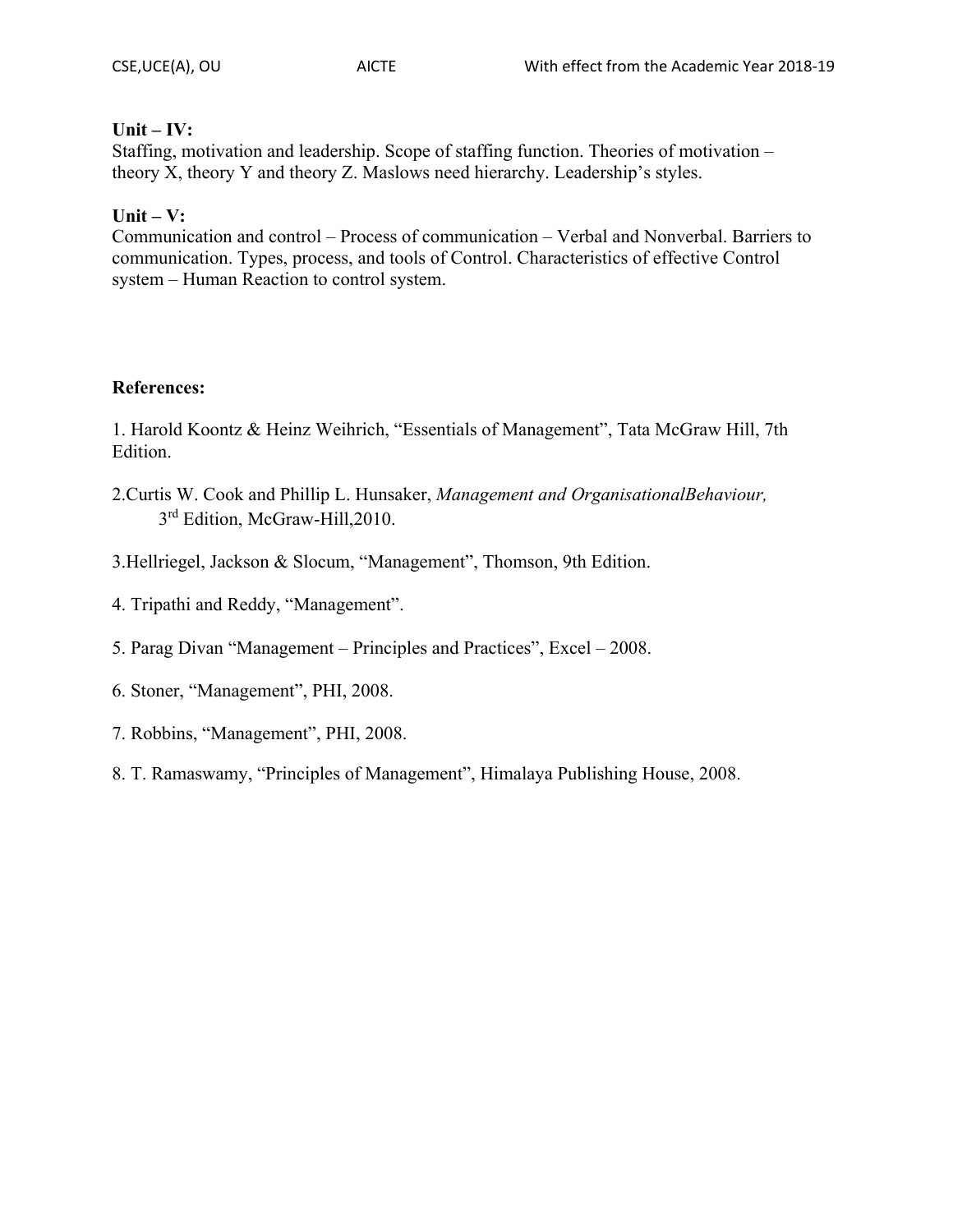#### **Unit – IV:**

Staffing, motivation and leadership. Scope of staffing function. Theories of motivation – theory X, theory Y and theory Z. Maslows need hierarchy. Leadership's styles.

## **Unit – V:**

Communication and control – Process of communication – Verbal and Nonverbal. Barriers to communication. Types, process, and tools of Control. Characteristics of effective Control system – Human Reaction to control system.

#### **References:**

1. Harold Koontz & Heinz Weihrich, "Essentials of Management", Tata McGraw Hill, 7th Edition.

- 2.Curtis W. Cook and Phillip L. Hunsaker, *Management and OrganisationalBehaviour,* 3rd Edition, McGraw-Hill, 2010.
- 3.Hellriegel, Jackson & Slocum, "Management", Thomson, 9th Edition.
- 4. Tripathi and Reddy, "Management".
- 5. Parag Divan "Management Principles and Practices", Excel 2008.
- 6. Stoner, "Management", PHI, 2008.
- 7. Robbins, "Management", PHI, 2008.
- 8. T. Ramaswamy, "Principles of Management", Himalaya Publishing House, 2008.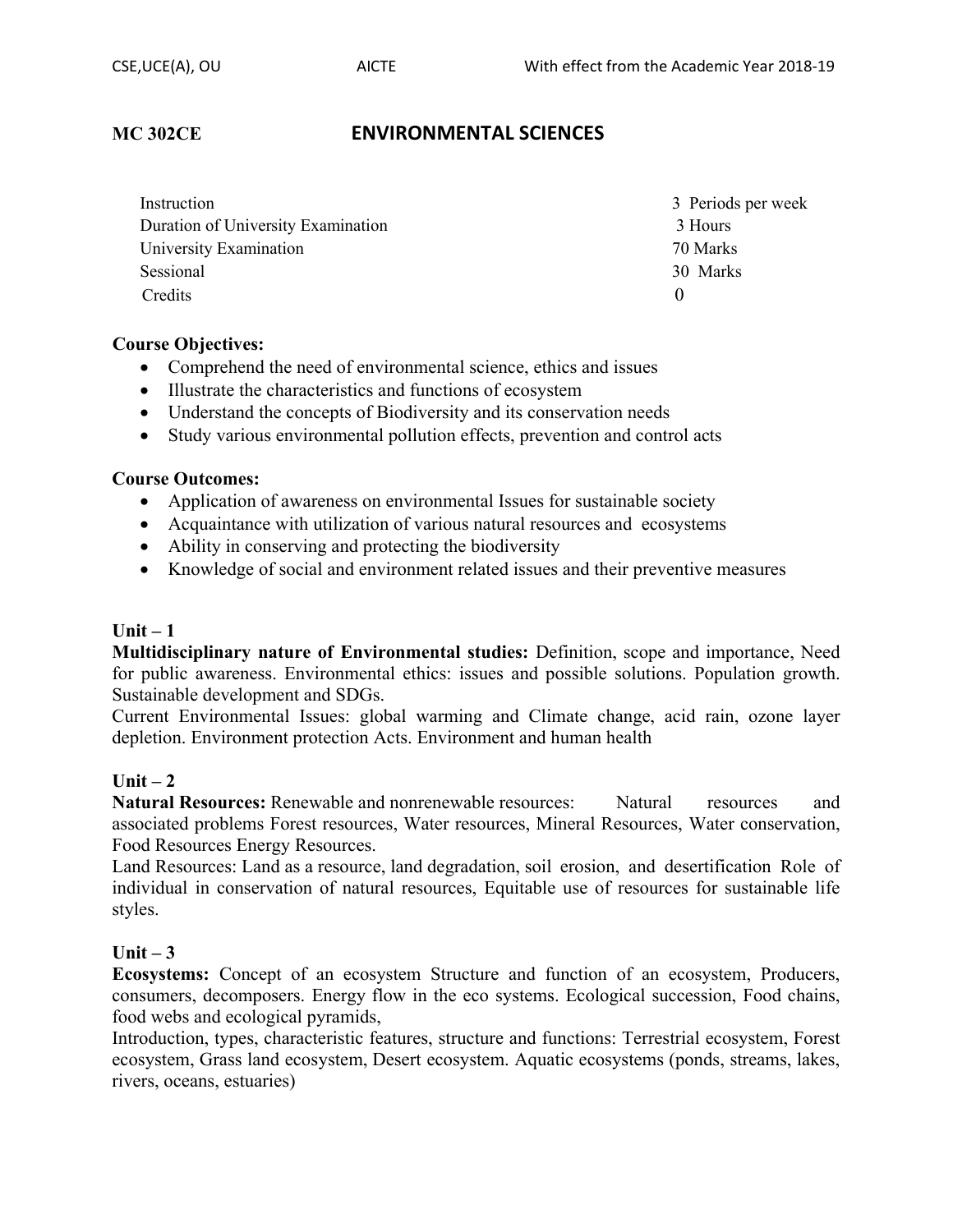## **MC 302CE ENVIRONMENTAL SCIENCES**

| Instruction                        | 3 Periods per week |
|------------------------------------|--------------------|
| Duration of University Examination | 3 Hours            |
| University Examination             | 70 Marks           |
| Sessional                          | 30 Marks           |
| Credits                            |                    |

#### **Course Objectives:**

- Comprehend the need of environmental science, ethics and issues
- Illustrate the characteristics and functions of ecosystem
- Understand the concepts of Biodiversity and its conservation needs
- ∑ Study various environmental pollution effects, prevention and control acts

#### **Course Outcomes:**

- Application of awareness on environmental Issues for sustainable society
- Acquaintance with utilization of various natural resources and ecosystems
- Ability in conserving and protecting the biodiversity
- ∑ Knowledge of social and environment related issues and their preventive measures

#### **Unit – 1**

**Multidisciplinary nature of Environmental studies:** Definition, scope and importance, Need for public awareness. Environmental ethics: issues and possible solutions. Population growth. Sustainable development and SDGs.

Current Environmental Issues: global warming and Climate change, acid rain, ozone layer depletion. Environment protection Acts. Environment and human health

#### $Unit - 2$

**Natural Resources:** Renewable and nonrenewable resources: Natural resources and associated problems Forest resources, Water resources, Mineral Resources, Water conservation, Food Resources Energy Resources.

Land Resources: Land as a resource, land degradation, soil erosion, and desertification Role of individual in conservation of natural resources, Equitable use of resources for sustainable life styles.

#### **Unit – 3**

**Ecosystems:** Concept of an ecosystem Structure and function of an ecosystem, Producers, consumers, decomposers. Energy flow in the eco systems. Ecological succession, Food chains, food webs and ecological pyramids,

Introduction, types, characteristic features, structure and functions: Terrestrial ecosystem, Forest ecosystem, Grass land ecosystem, Desert ecosystem. Aquatic ecosystems (ponds, streams, lakes, rivers, oceans, estuaries)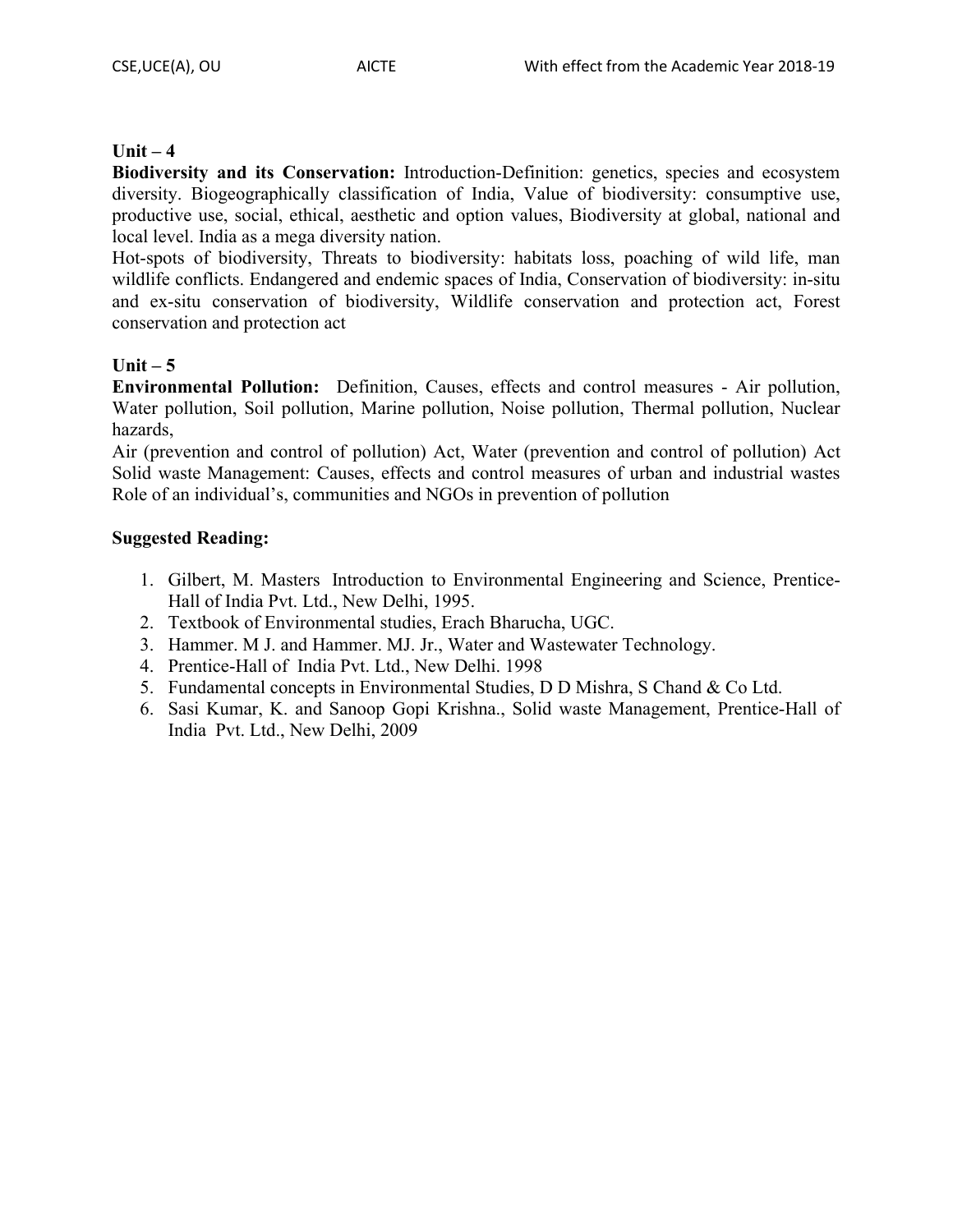## **Unit – 4**

**Biodiversity and its Conservation:** Introduction-Definition: genetics, species and ecosystem diversity. Biogeographically classification of India, Value of biodiversity: consumptive use, productive use, social, ethical, aesthetic and option values, Biodiversity at global, national and local level. India as a mega diversity nation.

Hot-spots of biodiversity, Threats to biodiversity: habitats loss, poaching of wild life, man wildlife conflicts. Endangered and endemic spaces of India, Conservation of biodiversity: in-situ and ex-situ conservation of biodiversity, Wildlife conservation and protection act, Forest conservation and protection act

#### **Unit – 5**

**Environmental Pollution:** Definition, Causes, effects and control measures - Air pollution, Water pollution, Soil pollution, Marine pollution, Noise pollution, Thermal pollution, Nuclear hazards,

Air (prevention and control of pollution) Act, Water (prevention and control of pollution) Act Solid waste Management: Causes, effects and control measures of urban and industrial wastes Role of an individual's, communities and NGOs in prevention of pollution

## **Suggested Reading:**

- 1. Gilbert, M. Masters Introduction to Environmental Engineering and Science, Prentice-Hall of India Pvt. Ltd., New Delhi, 1995.
- 2. Textbook of Environmental studies, Erach Bharucha, UGC.
- 3. Hammer. M J. and Hammer. MJ. Jr., Water and Wastewater Technology.
- 4. Prentice-Hall of India Pvt. Ltd., New Delhi. 1998
- 5. Fundamental concepts in Environmental Studies, D D Mishra, S Chand & Co Ltd.
- 6. Sasi Kumar, K. and Sanoop Gopi Krishna., Solid waste Management, Prentice-Hall of India Pvt. Ltd., New Delhi, 2009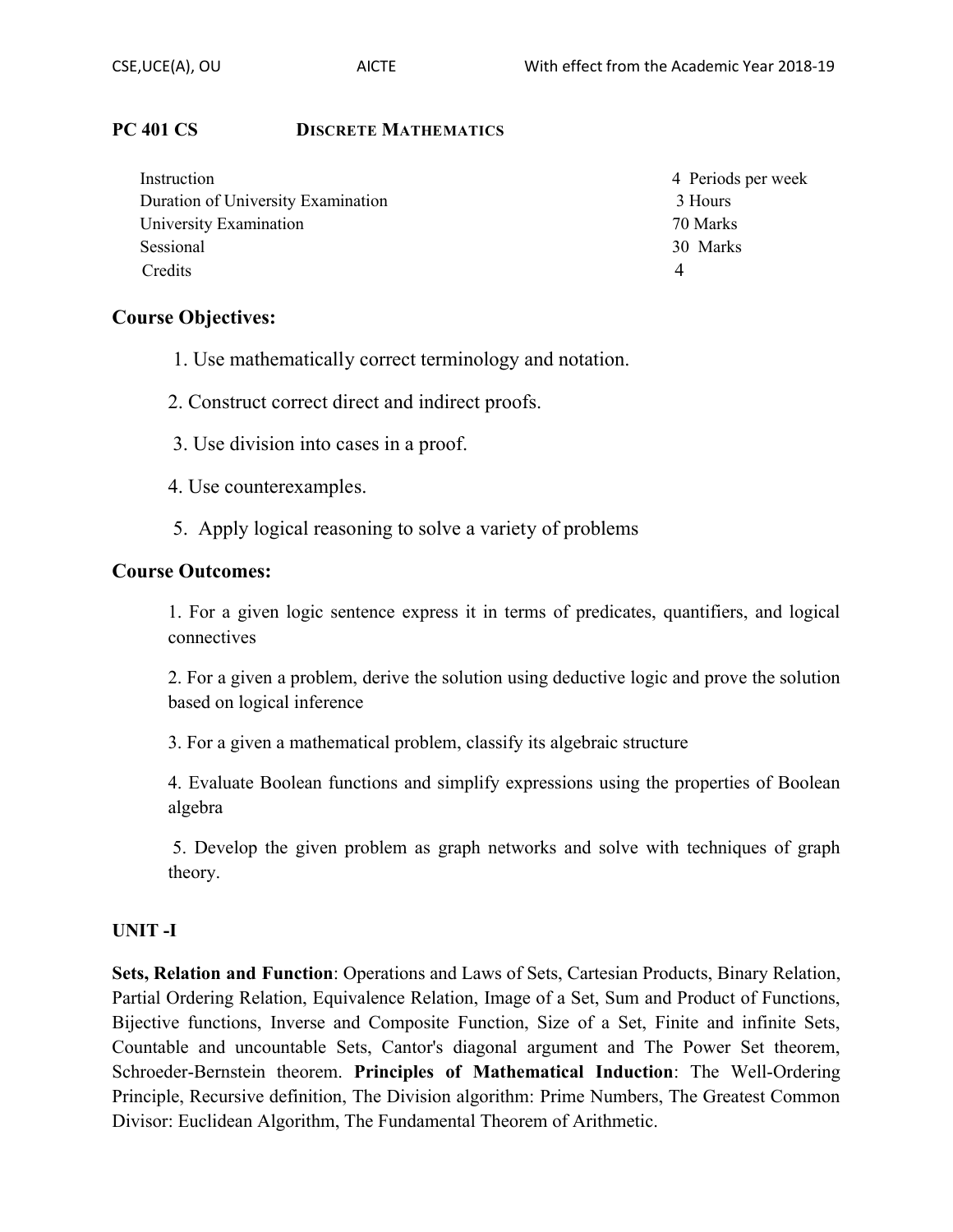## **PC 401 CS DISCRETE MATHEMATICS**

| Instruction                        | 4 Periods per week |
|------------------------------------|--------------------|
| Duration of University Examination | 3 Hours            |
| University Examination             | 70 Marks           |
| Sessional                          | 30 Marks           |
| Credits                            | 4                  |

## **Course Objectives:**

- 1. Use mathematically correct terminology and notation.
- 2. Construct correct direct and indirect proofs.
- 3. Use division into cases in a proof.
- 4. Use counterexamples.
- 5. Apply logical reasoning to solve a variety of problems

## **Course Outcomes:**

1. For a given logic sentence express it in terms of predicates, quantifiers, and logical connectives

2. For a given a problem, derive the solution using deductive logic and prove the solution based on logical inference

3. For a given a mathematical problem, classify its algebraic structure

4. Evaluate Boolean functions and simplify expressions using the properties of Boolean algebra

5. Develop the given problem as graph networks and solve with techniques of graph theory.

## **UNIT -I**

**Sets, Relation and Function**: Operations and Laws of Sets, Cartesian Products, Binary Relation, Partial Ordering Relation, Equivalence Relation, Image of a Set, Sum and Product of Functions, Bijective functions, Inverse and Composite Function, Size of a Set, Finite and infinite Sets, Countable and uncountable Sets, Cantor's diagonal argument and The Power Set theorem, Schroeder-Bernstein theorem. **Principles of Mathematical Induction**: The Well-Ordering Principle, Recursive definition, The Division algorithm: Prime Numbers, The Greatest Common Divisor: Euclidean Algorithm, The Fundamental Theorem of Arithmetic.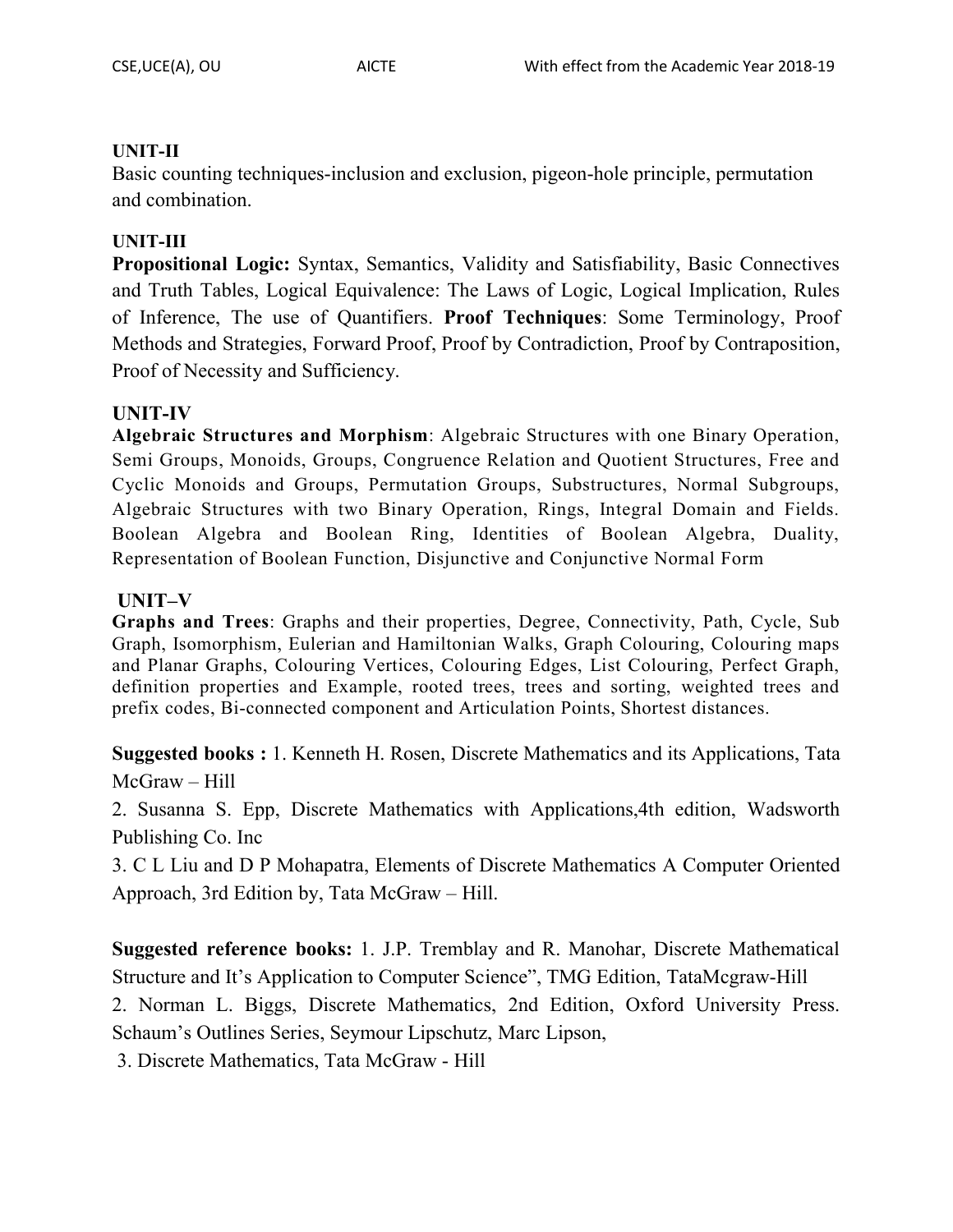## **UNIT-II**

Basic counting techniques-inclusion and exclusion, pigeon-hole principle, permutation and combination.

## **UNIT-III**

**Propositional Logic:** Syntax, Semantics, Validity and Satisfiability, Basic Connectives and Truth Tables, Logical Equivalence: The Laws of Logic, Logical Implication, Rules of Inference, The use of Quantifiers. **Proof Techniques**: Some Terminology, Proof Methods and Strategies, Forward Proof, Proof by Contradiction, Proof by Contraposition, Proof of Necessity and Sufficiency.

## **UNIT-IV**

**Algebraic Structures and Morphism**: Algebraic Structures with one Binary Operation, Semi Groups, Monoids, Groups, Congruence Relation and Quotient Structures, Free and Cyclic Monoids and Groups, Permutation Groups, Substructures, Normal Subgroups, Algebraic Structures with two Binary Operation, Rings, Integral Domain and Fields. Boolean Algebra and Boolean Ring, Identities of Boolean Algebra, Duality, Representation of Boolean Function, Disjunctive and Conjunctive Normal Form

## **UNIT–V**

**Graphs and Trees**: Graphs and their properties, Degree, Connectivity, Path, Cycle, Sub Graph, Isomorphism, Eulerian and Hamiltonian Walks, Graph Colouring, Colouring maps and Planar Graphs, Colouring Vertices, Colouring Edges, List Colouring, Perfect Graph, definition properties and Example, rooted trees, trees and sorting, weighted trees and prefix codes, Bi-connected component and Articulation Points, Shortest distances.

**Suggested books :** 1. Kenneth H. Rosen, Discrete Mathematics and its Applications, Tata McGraw – Hill

2. Susanna S. Epp, Discrete Mathematics with Applications,4th edition, Wadsworth Publishing Co. Inc

3. C L Liu and D P Mohapatra, Elements of Discrete Mathematics A Computer Oriented Approach, 3rd Edition by, Tata McGraw – Hill.

**Suggested reference books:** 1. J.P. Tremblay and R. Manohar, Discrete Mathematical Structure and It's Application to Computer Science", TMG Edition, TataMcgraw-Hill

2. Norman L. Biggs, Discrete Mathematics, 2nd Edition, Oxford University Press. Schaum's Outlines Series, Seymour Lipschutz, Marc Lipson,

3. Discrete Mathematics, Tata McGraw - Hill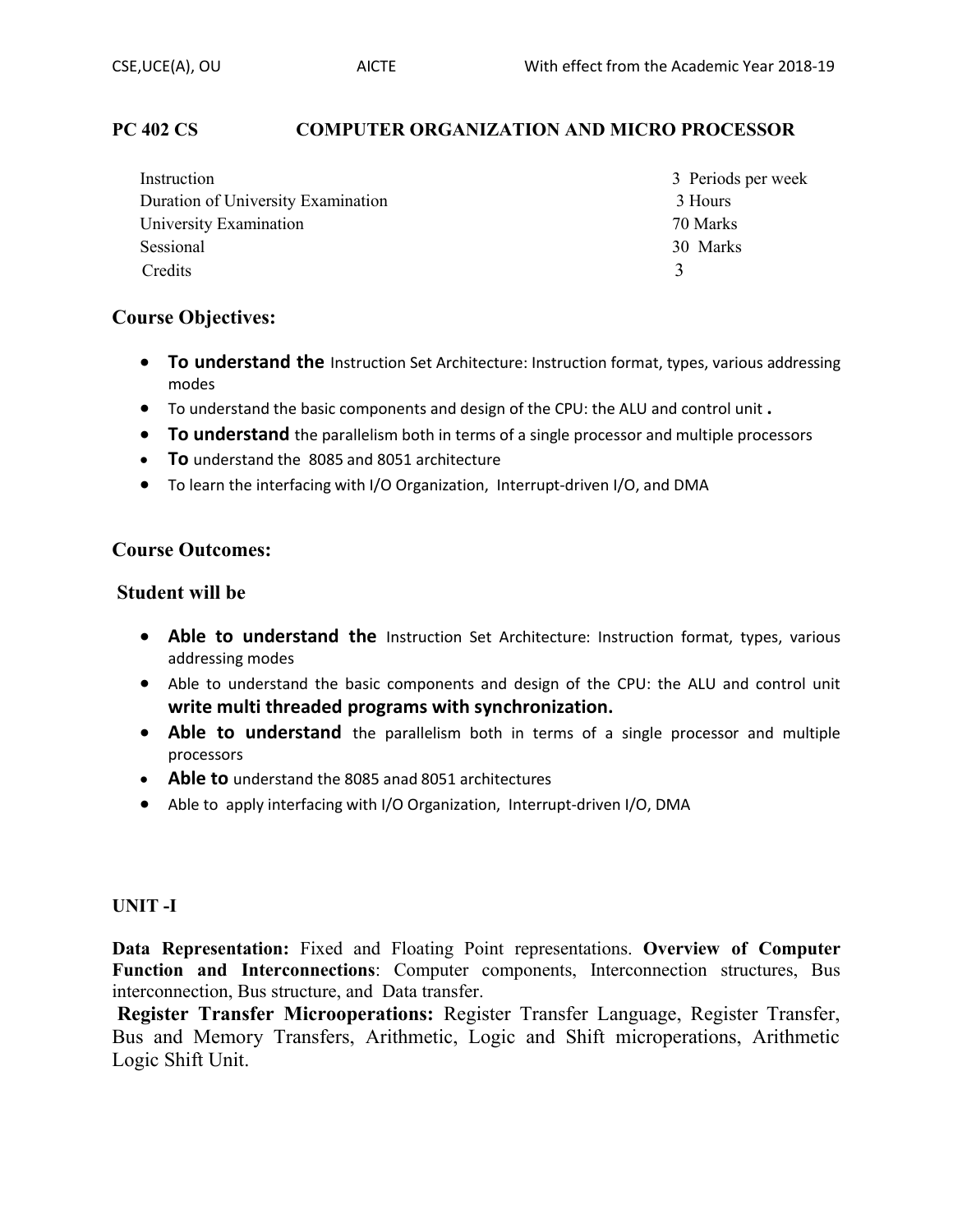## **PC 402 CS COMPUTER ORGANIZATION AND MICRO PROCESSOR**

| Instruction                        | 3 Periods per week |
|------------------------------------|--------------------|
| Duration of University Examination | 3 Hours            |
| University Examination             | 70 Marks           |
| Sessional                          | 30 Marks           |
| Credits                            | $\mathcal{R}$      |

#### **Course Objectives:**

- To understand the Instruction Set Architecture: Instruction format, types, various addressing modes
- ∑ To understand the basic components and design of the CPU: the ALU and control unit **.**
- To understand the parallelism both in terms of a single processor and multiple processors
- ∑ **To** understand the 8085 and 8051 architecture
- To learn the interfacing with I/O Organization, Interrupt-driven I/O, and DMA

## **Course Outcomes:**

#### **Student will be**

- Able to understand the Instruction Set Architecture: Instruction format, types, various addressing modes
- Able to understand the basic components and design of the CPU: the ALU and control unit **write multi threaded programs with synchronization.**
- Able to understand the parallelism both in terms of a single processor and multiple processors
- ∑ **Able to** understand the 8085 anad 8051 architectures
- Able to apply interfacing with I/O Organization, Interrupt-driven I/O, DMA

#### **UNIT -I**

**Data Representation:** Fixed and Floating Point representations. **Overview of Computer Function and Interconnections**: Computer components, Interconnection structures, Bus interconnection, Bus structure, and Data transfer.

**Register Transfer Microoperations:** Register Transfer Language, Register Transfer, Bus and Memory Transfers, Arithmetic, Logic and Shift microperations, Arithmetic Logic Shift Unit.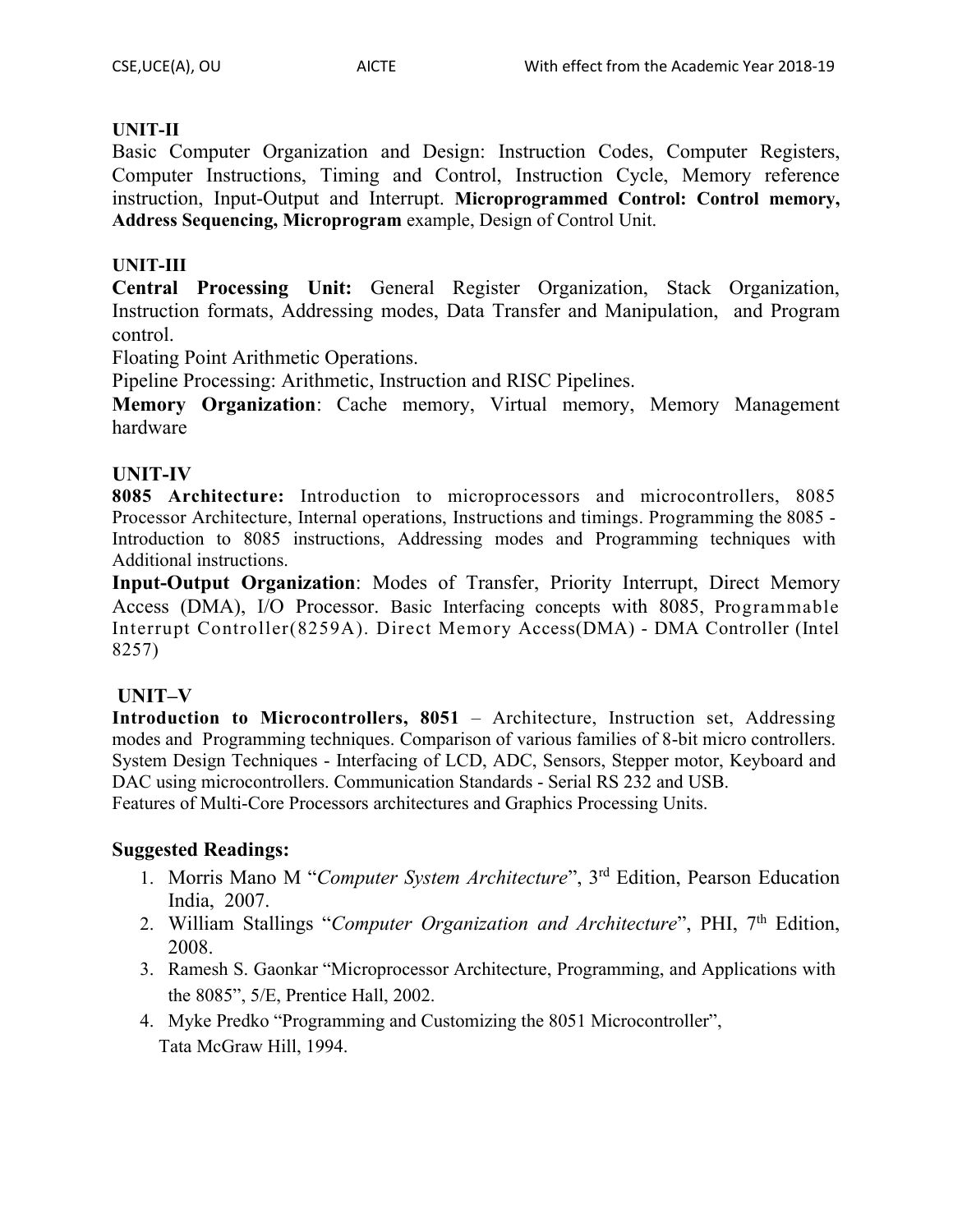## **UNIT-II**

Basic Computer Organization and Design: Instruction Codes, Computer Registers, Computer Instructions, Timing and Control, Instruction Cycle, Memory reference instruction, Input-Output and Interrupt. **Microprogrammed Control: Control memory, Address Sequencing, Microprogram** example, Design of Control Unit.

## **UNIT-III**

**Central Processing Unit:** General Register Organization, Stack Organization, Instruction formats, Addressing modes, Data Transfer and Manipulation, and Program control.

Floating Point Arithmetic Operations.

Pipeline Processing: Arithmetic, Instruction and RISC Pipelines.

**Memory Organization**: Cache memory, Virtual memory, Memory Management hardware

## **UNIT-IV**

**8085 Architecture:** Introduction to microprocessors and microcontrollers, 8085 Processor Architecture, Internal operations, Instructions and timings. Programming the 8085 - Introduction to 8085 instructions, Addressing modes and Programming techniques with Additional instructions.

**Input-Output Organization**: Modes of Transfer, Priority Interrupt, Direct Memory Access (DMA), I/O Processor. Basic Interfacing concepts with 8085, Programmable Interrupt Controller(8259A). Direct Memory Access(DMA) - DMA Controller (Intel 8257)

## **UNIT–V**

**Introduction to Microcontrollers, 8051** – Architecture, Instruction set, Addressing modes and Programming techniques. Comparison of various families of 8-bit micro controllers. System Design Techniques - Interfacing of LCD, ADC, Sensors, Stepper motor, Keyboard and DAC using microcontrollers. Communication Standards - Serial RS 232 and USB.

Features of Multi-Core Processors architectures and Graphics Processing Units.

## **Suggested Readings:**

- 1. Morris Mano M "*Computer System Architecture*", 3rd Edition, Pearson Education India, 2007.
- 2. William Stallings "*Computer Organization and Architecture*", PHI, 7th Edition, 2008.
- 3. Ramesh S. Gaonkar "Microprocessor Architecture, Programming, and Applications with the 8085", 5/E, Prentice Hall, 2002.
- 4. Myke Predko "Programming and Customizing the 8051 Microcontroller", Tata McGraw Hill, 1994.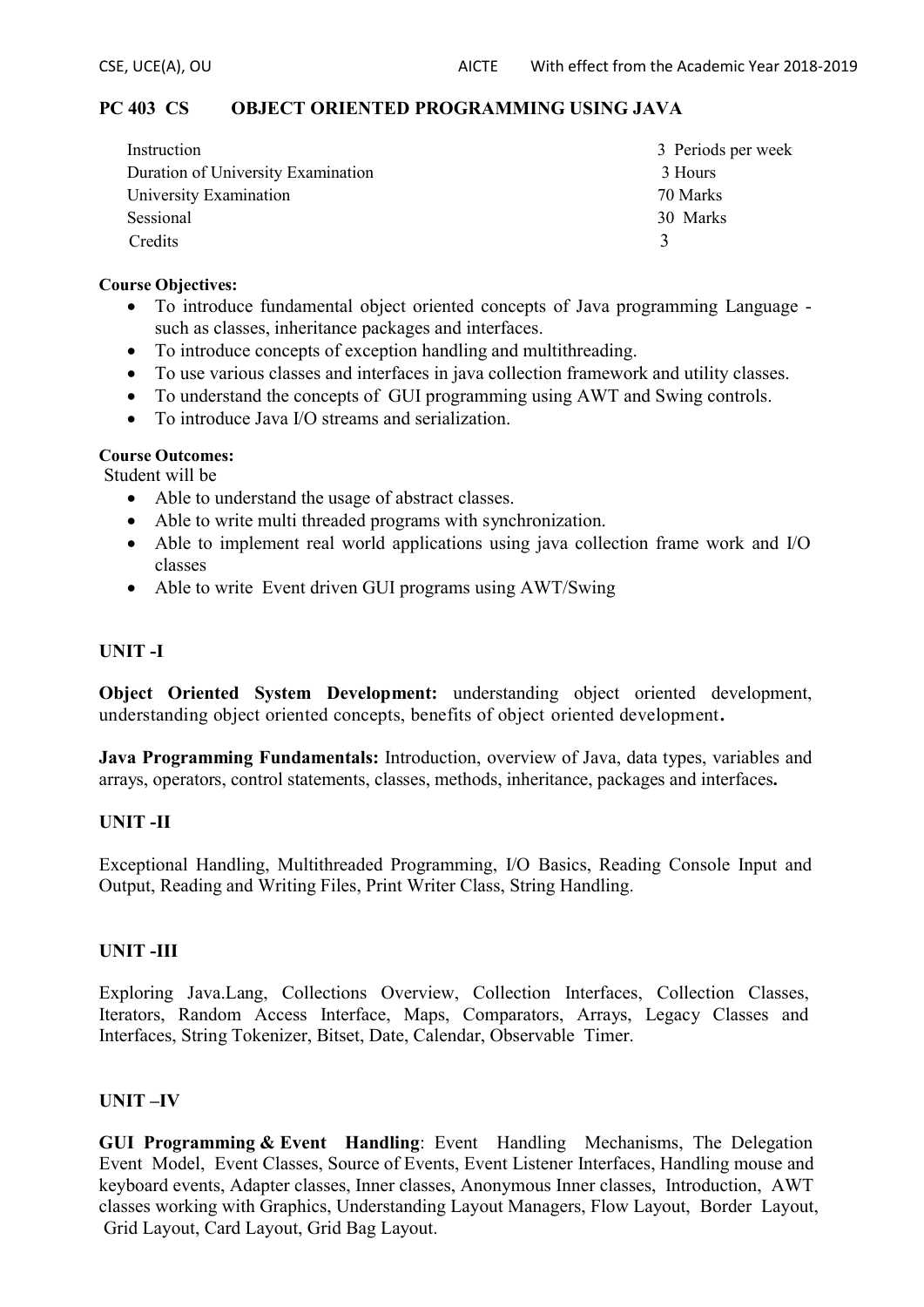#### **PC 403 CS OBJECT ORIENTED PROGRAMMING USING JAVA**

| Instruction                        | 3 Periods per week |
|------------------------------------|--------------------|
| Duration of University Examination | 3 Hours            |
| University Examination             | 70 Marks           |
| Sessional                          | 30 Marks           |
| Credits                            |                    |

#### **Course Objectives:**

- ∑ To introduce fundamental object oriented concepts of Java programming Language such as classes, inheritance packages and interfaces.
- ∑ To introduce concepts of exception handling and multithreading.
- To use various classes and interfaces in java collection framework and utility classes.
- To understand the concepts of GUI programming using AWT and Swing controls.
- ∑ To introduce Java I/O streams and serialization.

#### **Course Outcomes:**

Student will be

- Able to understand the usage of abstract classes.
- Able to write multi threaded programs with synchronization.
- Able to implement real world applications using java collection frame work and I/O classes
- Able to write Event driven GUI programs using AWT/Swing

#### **UNIT -I**

**Object Oriented System Development:** understanding object oriented development, understanding object oriented concepts, benefits of object oriented development**.**

**Java Programming Fundamentals:** Introduction, overview of Java, data types, variables and arrays, operators, control statements, classes, methods, inheritance, packages and interfaces**.**

#### **UNIT -II**

Exceptional Handling, Multithreaded Programming, I/O Basics, Reading Console Input and Output, Reading and Writing Files, Print Writer Class, String Handling.

#### **UNIT -III**

Exploring Java.Lang, Collections Overview, Collection Interfaces, Collection Classes, Iterators, Random Access Interface, Maps, Comparators, Arrays, Legacy Classes and Interfaces, String Tokenizer, Bitset, Date, Calendar, Observable Timer.

#### **UNIT –IV**

**GUI Programming & Event Handling**: Event Handling Mechanisms, The Delegation Event Model, Event Classes, Source of Events, Event Listener Interfaces, Handling mouse and keyboard events, Adapter classes, Inner classes, Anonymous Inner classes, Introduction, AWT classes working with Graphics, Understanding Layout Managers, Flow Layout, Border Layout, Grid Layout, Card Layout, Grid Bag Layout.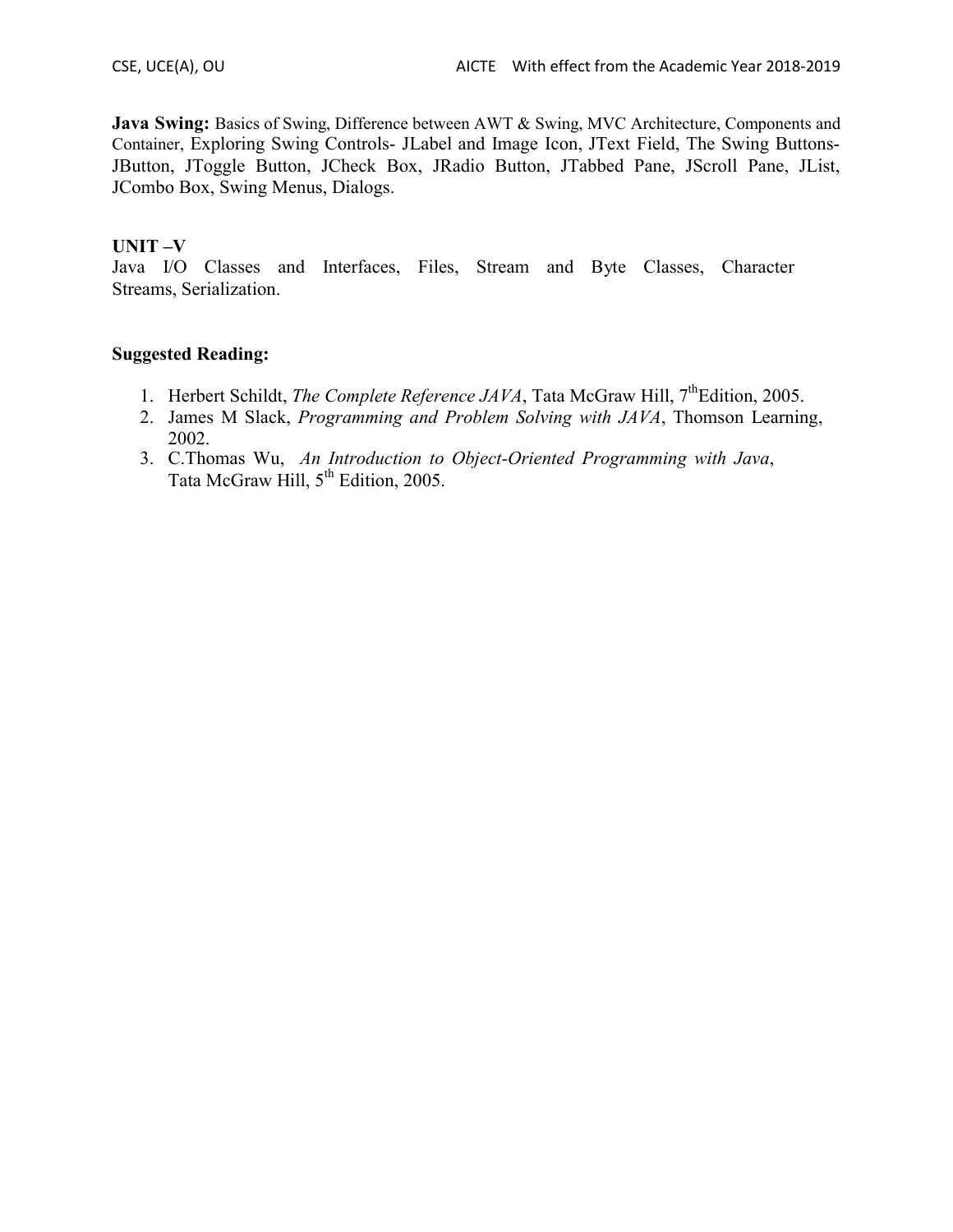**Java Swing:** Basics of Swing, Difference between AWT & Swing, MVC Architecture, Components and Container, Exploring Swing Controls- JLabel and Image Icon, JText Field, The Swing Buttons-JButton, JToggle Button, JCheck Box, JRadio Button, JTabbed Pane, JScroll Pane, JList, JCombo Box, Swing Menus, Dialogs.

#### **UNIT –V**

Java I/O Classes and Interfaces, Files, Stream and Byte Classes, Character Streams, Serialization.

#### **Suggested Reading:**

- 1. Herbert Schildt, *The Complete Reference JAVA*, Tata McGraw Hill, 7<sup>th</sup>Edition, 2005.
- 2. James M Slack, *Programming and Problem Solving with JAVA*, Thomson Learning, 2002.
- 3. C.Thomas Wu, *An Introduction to Object-Oriented Programming with Java*, Tata McGraw Hill,  $5<sup>th</sup>$  Edition, 2005.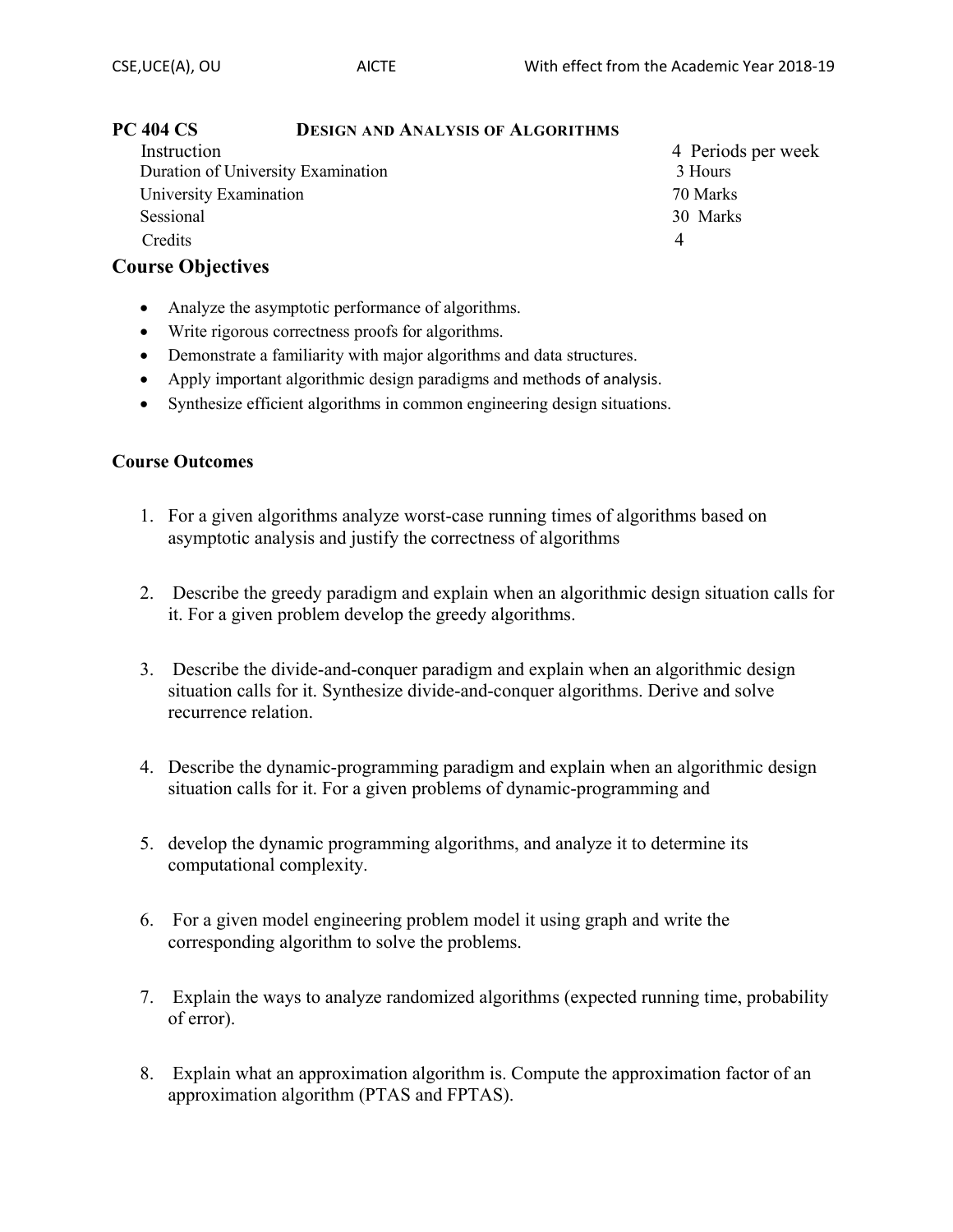| Instruction                        | 4 Periods per week |
|------------------------------------|--------------------|
| Duration of University Examination | 3 Hours            |
| University Examination             | 70 Marks           |
| Sessional                          | 30 Marks           |
| Credits                            |                    |

## **Course Objectives**

- Analyze the asymptotic performance of algorithms.
- Write rigorous correctness proofs for algorithms.
- Demonstrate a familiarity with major algorithms and data structures.
- Apply important algorithmic design paradigms and methods of analysis.
- Synthesize efficient algorithms in common engineering design situations.

## **Course Outcomes**

- 1. For a given algorithms analyze worst-case running times of algorithms based on asymptotic analysis and justify the correctness of algorithms
- 2. Describe the greedy paradigm and explain when an algorithmic design situation calls for it. For a given problem develop the greedy algorithms.
- 3. Describe the divide-and-conquer paradigm and explain when an algorithmic design situation calls for it. Synthesize divide-and-conquer algorithms. Derive and solve recurrence relation.
- 4. Describe the dynamic-programming paradigm and explain when an algorithmic design situation calls for it. For a given problems of dynamic-programming and
- 5. develop the dynamic programming algorithms, and analyze it to determine its computational complexity.
- 6. For a given model engineering problem model it using graph and write the corresponding algorithm to solve the problems.
- 7. Explain the ways to analyze randomized algorithms (expected running time, probability of error).
- 8. Explain what an approximation algorithm is. Compute the approximation factor of an approximation algorithm (PTAS and FPTAS).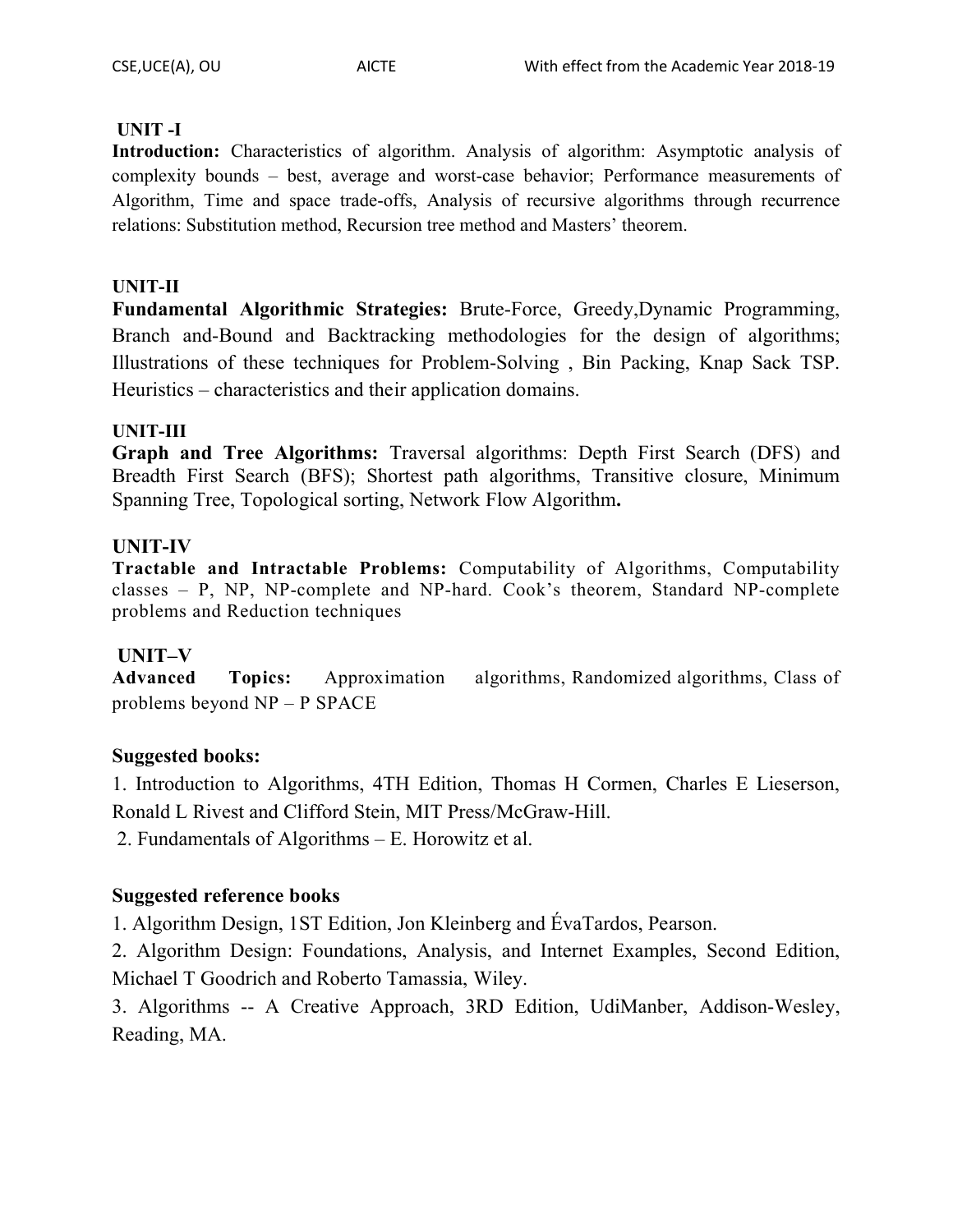## **UNIT -I**

**Introduction:** Characteristics of algorithm. Analysis of algorithm: Asymptotic analysis of complexity bounds – best, average and worst-case behavior; Performance measurements of Algorithm, Time and space trade-offs, Analysis of recursive algorithms through recurrence relations: Substitution method, Recursion tree method and Masters' theorem.

## **UNIT-II**

**Fundamental Algorithmic Strategies:** Brute-Force, Greedy,Dynamic Programming, Branch and-Bound and Backtracking methodologies for the design of algorithms; Illustrations of these techniques for Problem-Solving , Bin Packing, Knap Sack TSP. Heuristics – characteristics and their application domains.

## **UNIT-III**

**Graph and Tree Algorithms:** Traversal algorithms: Depth First Search (DFS) and Breadth First Search (BFS); Shortest path algorithms, Transitive closure, Minimum Spanning Tree, Topological sorting, Network Flow Algorithm**.** 

## **UNIT-IV**

**Tractable and Intractable Problems:** Computability of Algorithms, Computability classes – P, NP, NP-complete and NP-hard. Cook's theorem, Standard NP-complete problems and Reduction techniques

## **UNIT–V**

**Advanced Topics:** Approximation algorithms, Randomized algorithms, Class of problems beyond NP – P SPACE

## **Suggested books:**

1. Introduction to Algorithms, 4TH Edition, Thomas H Cormen, Charles E Lieserson, Ronald L Rivest and Clifford Stein, MIT Press/McGraw-Hill.

2. Fundamentals of Algorithms – E. Horowitz et al.

## **Suggested reference books**

1. Algorithm Design, 1ST Edition, Jon Kleinberg and ÉvaTardos, Pearson.

2. Algorithm Design: Foundations, Analysis, and Internet Examples, Second Edition, Michael T Goodrich and Roberto Tamassia, Wiley.

3. Algorithms -- A Creative Approach, 3RD Edition, UdiManber, Addison-Wesley, Reading, MA.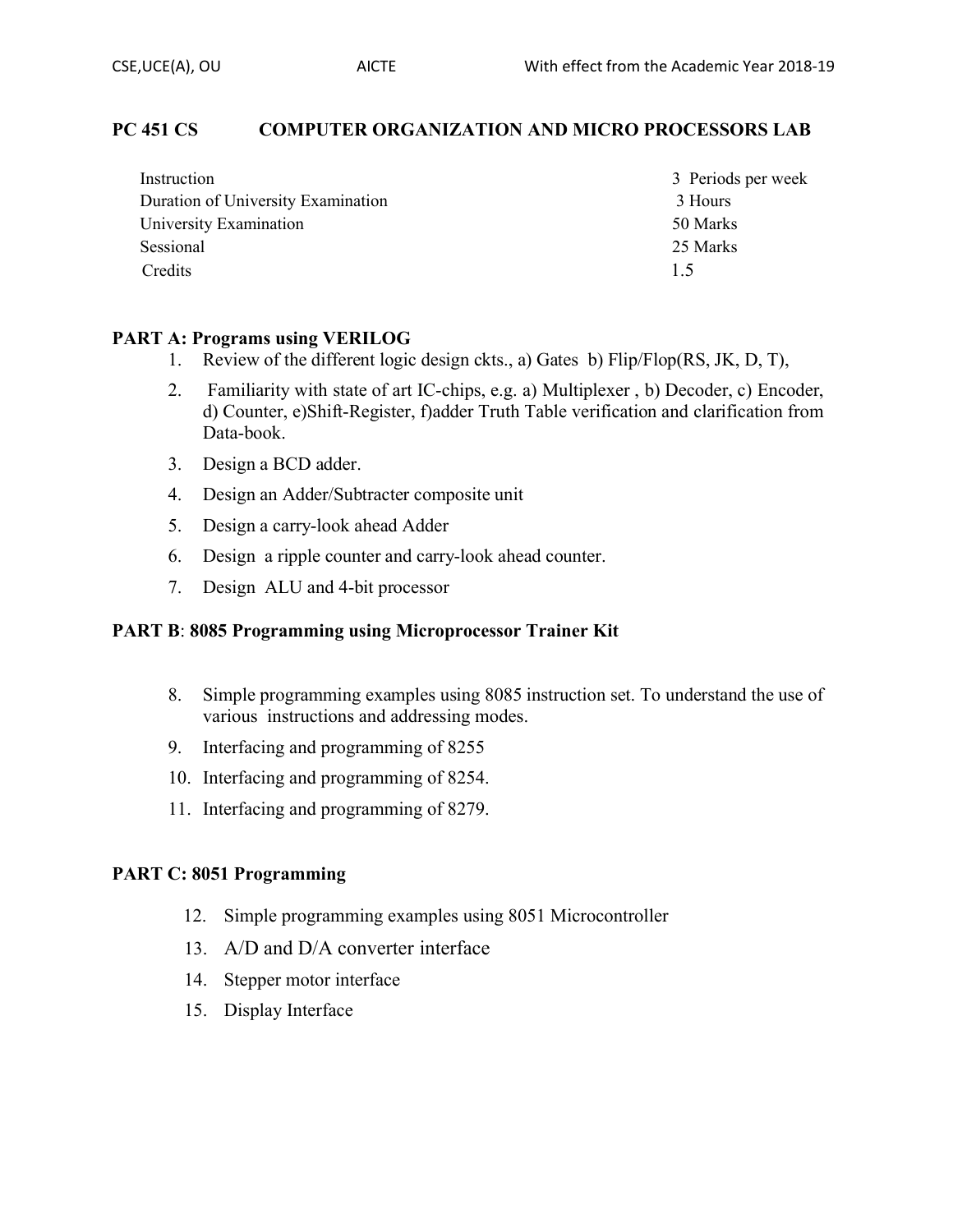## **PC 451 CS COMPUTER ORGANIZATION AND MICRO PROCESSORS LAB**

| Instruction                        | 3 Periods per week |
|------------------------------------|--------------------|
| Duration of University Examination | 3 Hours            |
| University Examination             | 50 Marks           |
| Sessional                          | 25 Marks           |
| Credits                            | 1.5                |

#### **PART A: Programs using VERILOG**

- 1. Review of the different logic design ckts., a) Gates b) Flip/Flop(RS, JK, D, T),
- 2. Familiarity with state of art IC-chips, e.g. a) Multiplexer , b) Decoder, c) Encoder, d) Counter, e)Shift-Register, f)adder Truth Table verification and clarification from Data-book.
- 3. Design a BCD adder.
- 4. Design an Adder/Subtracter composite unit
- 5. Design a carry-look ahead Adder
- 6. Design a ripple counter and carry-look ahead counter.
- 7. Design ALU and 4-bit processor

#### **PART B**: **8085 Programming using Microprocessor Trainer Kit**

- 8. Simple programming examples using 8085 instruction set. To understand the use of various instructions and addressing modes.
- 9. Interfacing and programming of 8255
- 10. Interfacing and programming of 8254.
- 11. Interfacing and programming of 8279.

#### **PART C: 8051 Programming**

- 12. Simple programming examples using 8051 Microcontroller
- 13. A/D and D/A converter interface
- 14. Stepper motor interface
- 15. Display Interface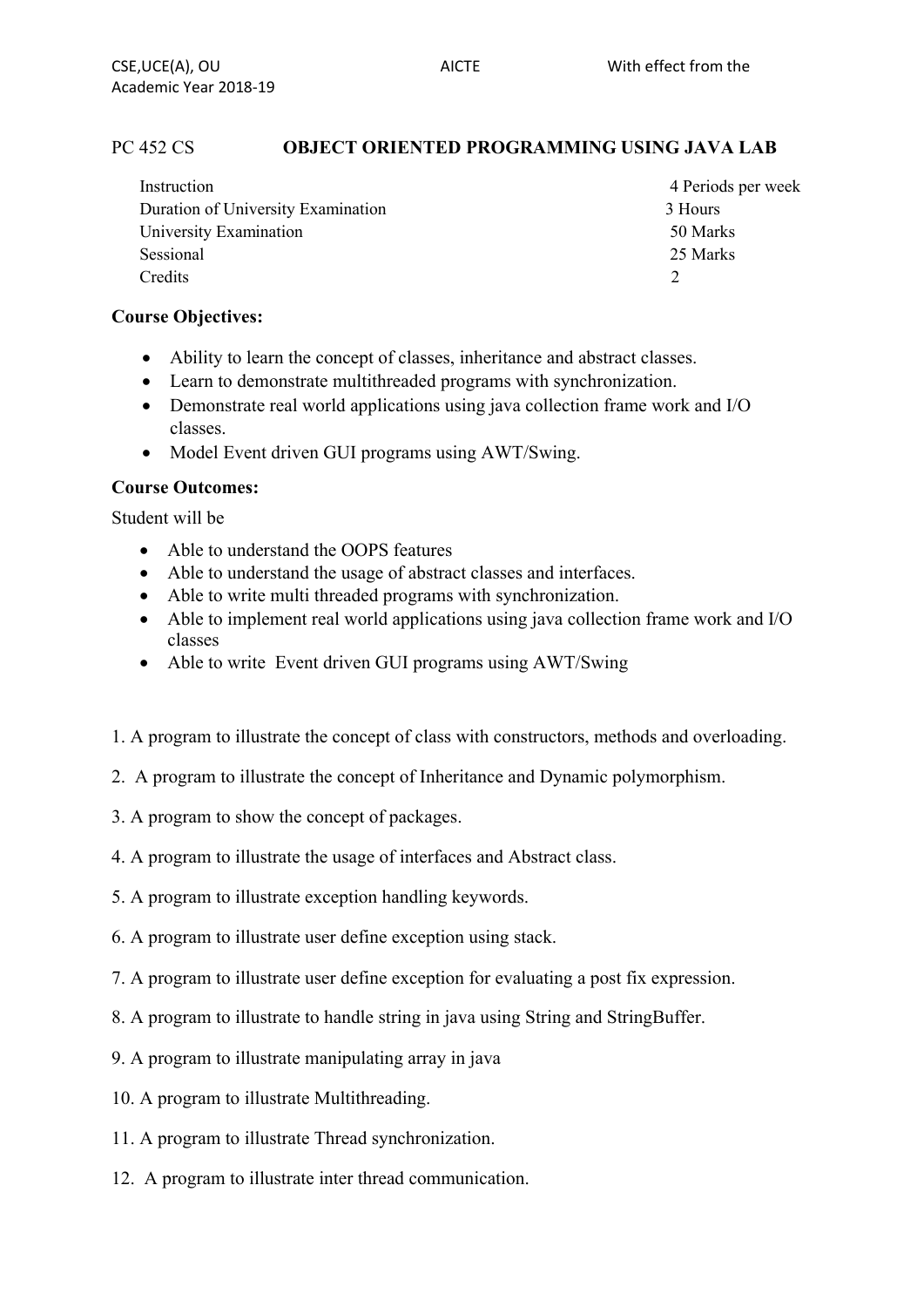## PC 452 CS **OBJECT ORIENTED PROGRAMMING USING JAVA LAB**

| Instruction                        | 4 Periods per week |
|------------------------------------|--------------------|
| Duration of University Examination | 3 Hours            |
| University Examination             | 50 Marks           |
| Sessional                          | 25 Marks           |
| Credits                            |                    |

## **Course Objectives:**

- Ability to learn the concept of classes, inheritance and abstract classes.
- Learn to demonstrate multithreaded programs with synchronization.
- Demonstrate real world applications using java collection frame work and I/O classes.
- Model Event driven GUI programs using AWT/Swing.

#### **Course Outcomes:**

Student will be

- Able to understand the OOPS features
- Able to understand the usage of abstract classes and interfaces.
- Able to write multi threaded programs with synchronization.
- Able to implement real world applications using java collection frame work and I/O classes
- Able to write Event driven GUI programs using AWT/Swing
- 1. A program to illustrate the concept of class with constructors, methods and overloading.
- 2. A program to illustrate the concept of Inheritance and Dynamic polymorphism.
- 3. A program to show the concept of packages.
- 4. A program to illustrate the usage of interfaces and Abstract class.
- 5. A program to illustrate exception handling keywords.
- 6. A program to illustrate user define exception using stack.
- 7. A program to illustrate user define exception for evaluating a post fix expression.
- 8. A program to illustrate to handle string in java using String and StringBuffer.
- 9. A program to illustrate manipulating array in java
- 10. A program to illustrate Multithreading.
- 11. A program to illustrate Thread synchronization.
- 12. A program to illustrate inter thread communication.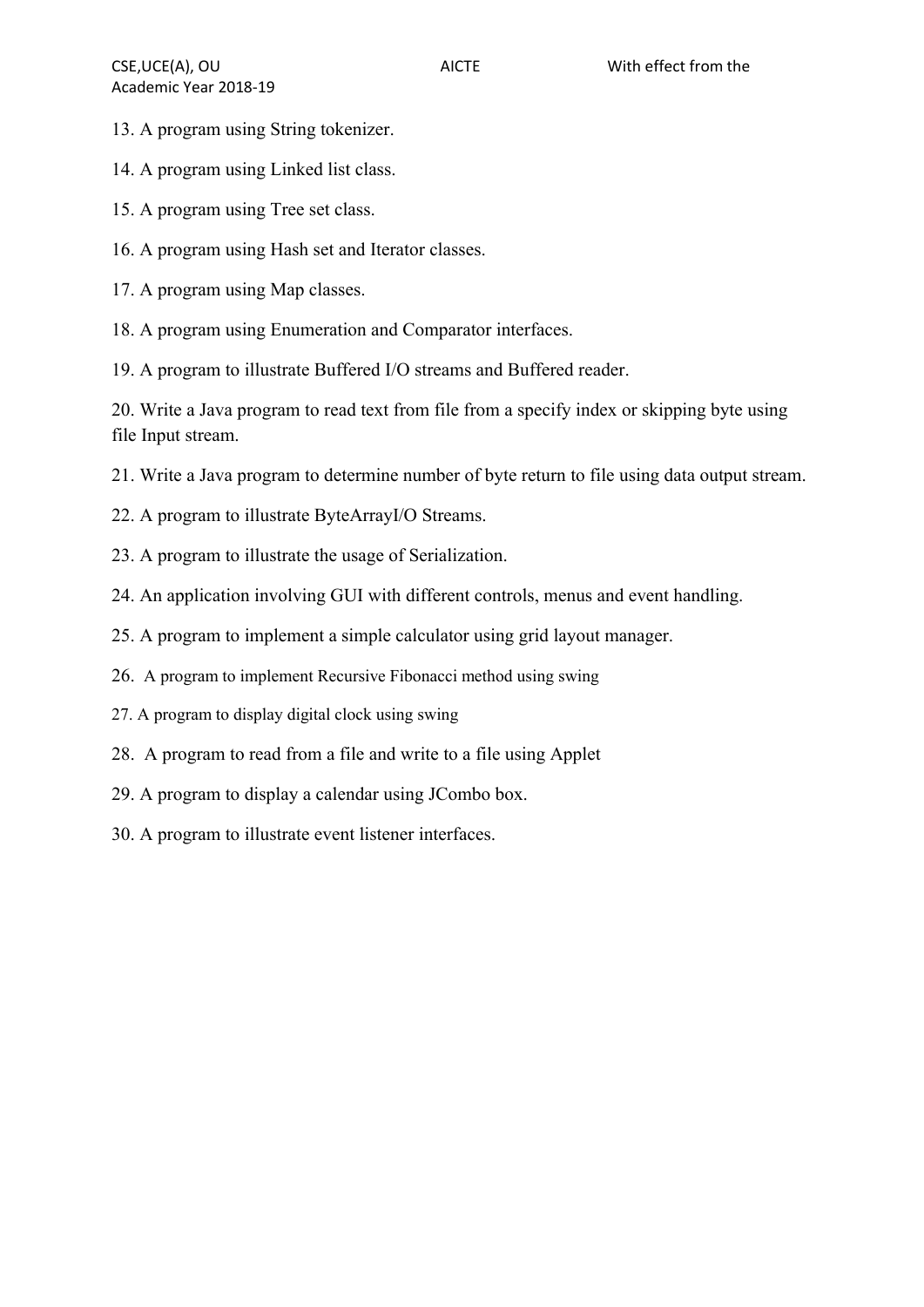- 13. A program using String tokenizer.
- 14. A program using Linked list class.
- 15. A program using Tree set class.
- 16. A program using Hash set and Iterator classes.
- 17. A program using Map classes.
- 18. A program using Enumeration and Comparator interfaces.
- 19. A program to illustrate Buffered I/O streams and Buffered reader.

20. Write a Java program to read text from file from a specify index or skipping byte using file Input stream.

- 21. Write a Java program to determine number of byte return to file using data output stream.
- 22. A program to illustrate ByteArrayI/O Streams.
- 23. A program to illustrate the usage of Serialization.
- 24. An application involving GUI with different controls, menus and event handling.
- 25. A program to implement a simple calculator using grid layout manager.
- 26. A program to implement Recursive Fibonacci method using swing
- 27. A program to display digital clock using swing
- 28. A program to read from a file and write to a file using Applet
- 29. A program to display a calendar using JCombo box.
- 30. A program to illustrate event listener interfaces.